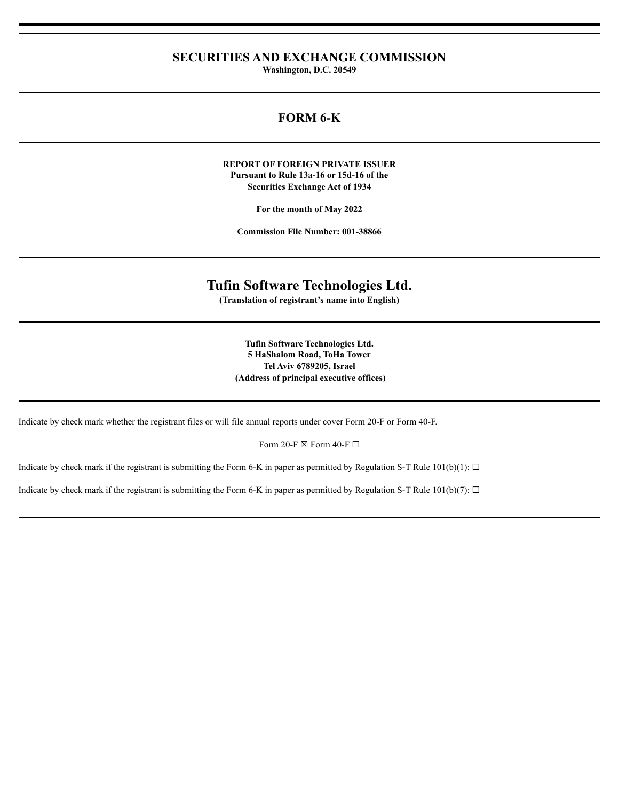# **SECURITIES AND EXCHANGE COMMISSION**

**Washington, D.C. 20549**

# **FORM 6-K**

#### **REPORT OF FOREIGN PRIVATE ISSUER Pursuant to Rule 13a-16 or 15d-16 of the Securities Exchange Act of 1934**

**For the month of May 2022**

**Commission File Number: 001-38866**

# **Tufin Software Technologies Ltd.**

**(Translation of registrant's name into English)**

**Tufin Software Technologies Ltd. 5 HaShalom Road, ToHa Tower Tel Aviv 6789205, Israel (Address of principal executive offices)**

Indicate by check mark whether the registrant files or will file annual reports under cover Form 20-F or Form 40-F.

Form 20-F  $\boxtimes$  Form 40-F  $\Box$ 

Indicate by check mark if the registrant is submitting the Form 6-K in paper as permitted by Regulation S-T Rule 101(b)(1):  $\Box$ 

Indicate by check mark if the registrant is submitting the Form 6-K in paper as permitted by Regulation S-T Rule 101(b)(7):  $\Box$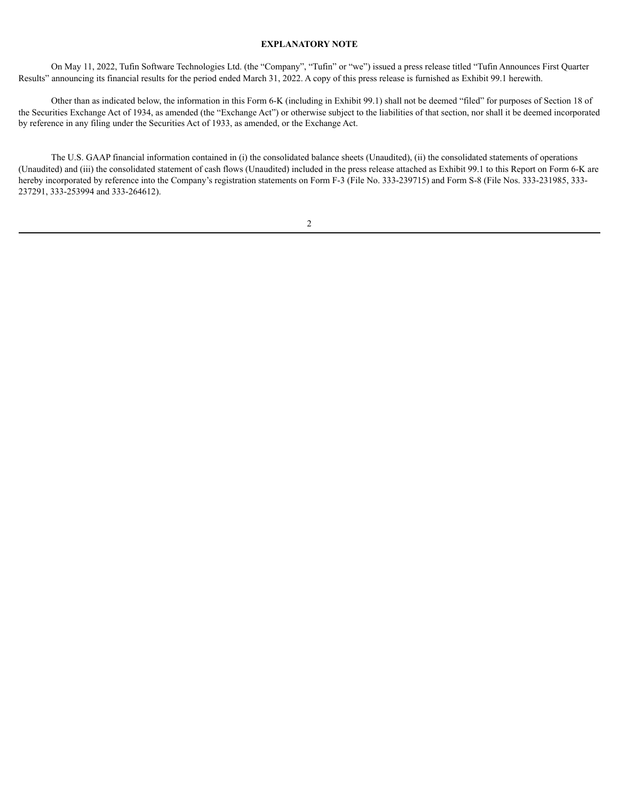#### **EXPLANATORY NOTE**

On May 11, 2022, Tufin Software Technologies Ltd. (the "Company", "Tufin" or "we") issued a press release titled "Tufin Announces First Quarter Results" announcing its financial results for the period ended March 31, 2022. A copy of this press release is furnished as Exhibit 99.1 herewith.

Other than as indicated below, the information in this Form 6-K (including in Exhibit 99.1) shall not be deemed "filed" for purposes of Section 18 of the Securities Exchange Act of 1934, as amended (the "Exchange Act") or otherwise subject to the liabilities of that section, nor shall it be deemed incorporated by reference in any filing under the Securities Act of 1933, as amended, or the Exchange Act.

The U.S. GAAP financial information contained in (i) the consolidated balance sheets (Unaudited), (ii) the consolidated statements of operations (Unaudited) and (iii) the consolidated statement of cash flows (Unaudited) included in the press release attached as Exhibit 99.1 to this Report on Form 6-K are hereby incorporated by reference into the Company's registration statements on Form F-3 (File No. 333-239715) and Form S-8 (File Nos. 333-231985, 333-237291, 333-253994 and 333-264612).

# 2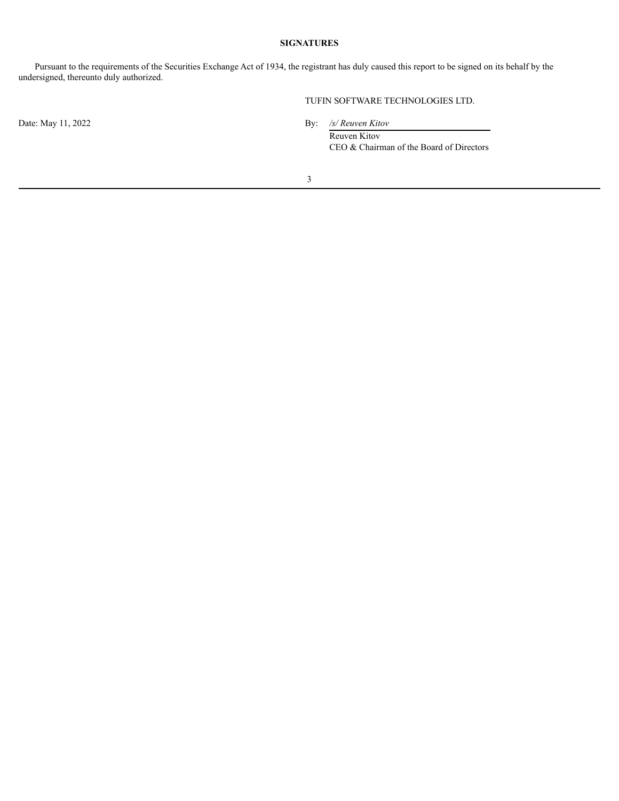#### **SIGNATURES**

Pursuant to the requirements of the Securities Exchange Act of 1934, the registrant has duly caused this report to be signed on its behalf by the undersigned, thereunto duly authorized.

Date: May 11, 2022 By: */s/ Reuven Kitov*

TUFIN SOFTWARE TECHNOLOGIES LTD.

Reuven Kitov CEO & Chairman of the Board of Directors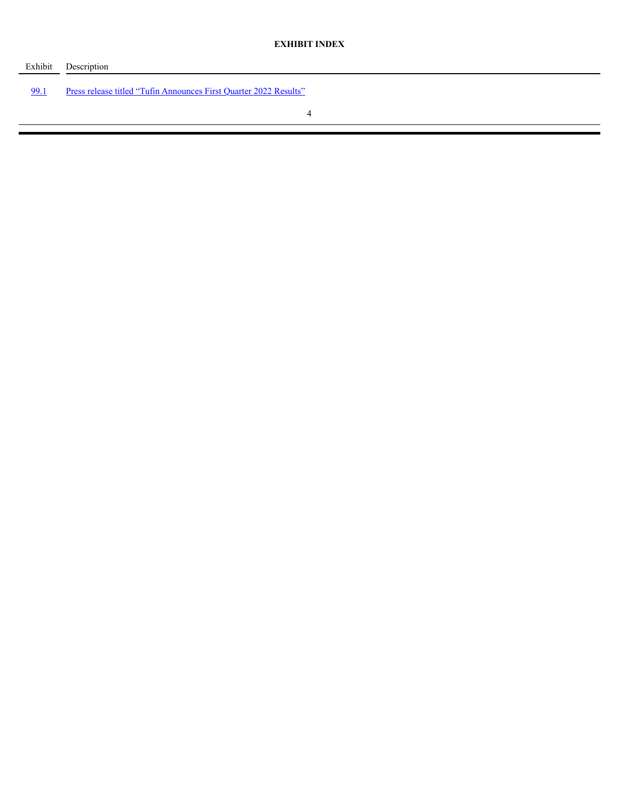| Exhibit | Description                                                       |
|---------|-------------------------------------------------------------------|
| 99.1    | Press release titled "Tufin Announces First Quarter 2022 Results" |
|         |                                                                   |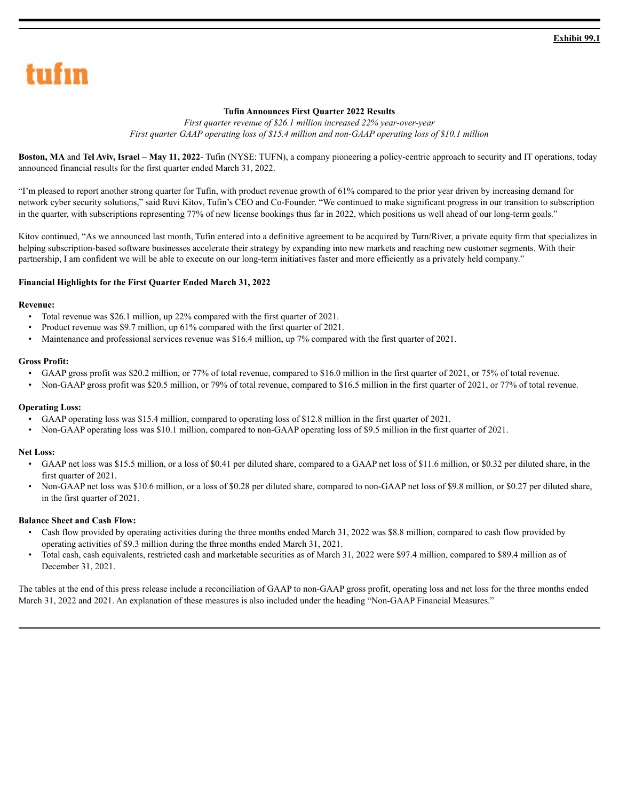# <span id="page-4-0"></span>tufın

### **Tufin Announces First Quarter 2022 Results**

*First quarter revenue of \$26.1 million increased 22% year-over-year First quarter GAAP operating loss of \$15.4 million and non-GAAP operating loss of \$10.1 million*

**Boston, MA** and **Tel Aviv, Israel – May 11, 2022**- Tufin (NYSE: TUFN), a company pioneering a policy-centric approach to security and IT operations, today announced financial results for the first quarter ended March 31, 2022.

"I'm pleased to report another strong quarter for Tufin, with product revenue growth of 61% compared to the prior year driven by increasing demand for network cyber security solutions," said Ruvi Kitov, Tufin's CEO and Co-Founder. "We continued to make significant progress in our transition to subscription in the quarter, with subscriptions representing 77% of new license bookings thus far in 2022, which positions us well ahead of our long-term goals."

Kitov continued, "As we announced last month, Tufin entered into a definitive agreement to be acquired by Turn/River, a private equity firm that specializes in helping subscription-based software businesses accelerate their strategy by expanding into new markets and reaching new customer segments. With their partnership, I am confident we will be able to execute on our long-term initiatives faster and more efficiently as a privately held company."

#### **Financial Highlights for the First Quarter Ended March 31, 2022**

#### **Revenue:**

- Total revenue was \$26.1 million, up 22% compared with the first quarter of 2021.
- Product revenue was \$9.7 million, up 61% compared with the first quarter of 2021.
- Maintenance and professional services revenue was \$16.4 million, up 7% compared with the first quarter of 2021.

#### **Gross Profit:**

- GAAP gross profit was \$20.2 million, or 77% of total revenue, compared to \$16.0 million in the first quarter of 2021, or 75% of total revenue.
- Non-GAAP gross profit was \$20.5 million, or 79% of total revenue, compared to \$16.5 million in the first quarter of 2021, or 77% of total revenue.

#### **Operating Loss:**

- GAAP operating loss was \$15.4 million, compared to operating loss of \$12.8 million in the first quarter of 2021.
- Non-GAAP operating loss was \$10.1 million, compared to non-GAAP operating loss of \$9.5 million in the first quarter of 2021.

#### **Net Loss:**

- GAAP net loss was \$15.5 million, or a loss of \$0.41 per diluted share, compared to a GAAP net loss of \$11.6 million, or \$0.32 per diluted share, in the first quarter of 2021.
- Non-GAAP net loss was \$10.6 million, or a loss of \$0.28 per diluted share, compared to non-GAAP net loss of \$9.8 million, or \$0.27 per diluted share, in the first quarter of 2021.

#### **Balance Sheet and Cash Flow:**

- Cash flow provided by operating activities during the three months ended March 31, 2022 was \$8.8 million, compared to cash flow provided by operating activities of \$9.3 million during the three months ended March 31, 2021.
- Total cash, cash equivalents, restricted cash and marketable securities as of March 31, 2022 were \$97.4 million, compared to \$89.4 million as of December 31, 2021.

The tables at the end of this press release include a reconciliation of GAAP to non-GAAP gross profit, operating loss and net loss for the three months ended March 31, 2022 and 2021. An explanation of these measures is also included under the heading "Non-GAAP Financial Measures."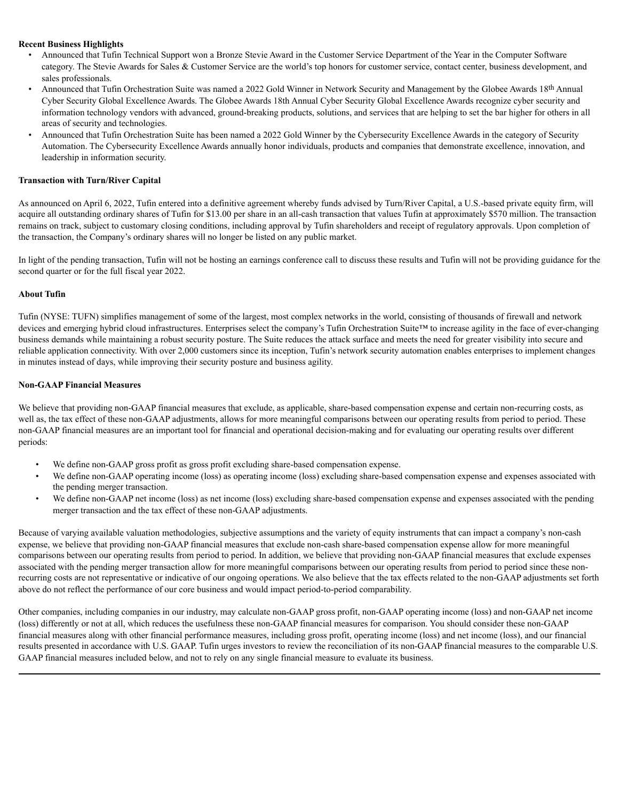#### **Recent Business Highlights**

- Announced that Tufin Technical Support won a Bronze Stevie Award in the Customer Service Department of the Year in the Computer Software category. The Stevie Awards for Sales & Customer Service are the world's top honors for customer service, contact center, business development, and sales professionals.
- Announced that Tufin Orchestration Suite was named a 2022 Gold Winner in Network Security and Management by the Globee Awards 18th Annual Cyber Security Global Excellence Awards. The Globee Awards 18th Annual Cyber Security Global Excellence Awards recognize cyber security and information technology vendors with advanced, ground-breaking products, solutions, and services that are helping to set the bar higher for others in all areas of security and technologies.
- Announced that Tufin Orchestration Suite has been named a 2022 Gold Winner by the Cybersecurity Excellence Awards in the category of Security Automation. The Cybersecurity Excellence Awards annually honor individuals, products and companies that demonstrate excellence, innovation, and leadership in information security.

#### **Transaction with Turn/River Capital**

As announced on April 6, 2022, Tufin entered into a definitive agreement whereby funds advised by Turn/River Capital, a U.S.-based private equity firm, will acquire all outstanding ordinary shares of Tufin for \$13.00 per share in an all-cash transaction that values Tufin at approximately \$570 million. The transaction remains on track, subject to customary closing conditions, including approval by Tufin shareholders and receipt of regulatory approvals. Upon completion of the transaction, the Company's ordinary shares will no longer be listed on any public market.

In light of the pending transaction, Tufin will not be hosting an earnings conference call to discuss these results and Tufin will not be providing guidance for the second quarter or for the full fiscal year 2022.

#### **About Tufin**

Tufin (NYSE: TUFN) simplifies management of some of the largest, most complex networks in the world, consisting of thousands of firewall and network devices and emerging hybrid cloud infrastructures. Enterprises select the company's Tufin Orchestration Suite™ to increase agility in the face of ever-changing business demands while maintaining a robust security posture. The Suite reduces the attack surface and meets the need for greater visibility into secure and reliable application connectivity. With over 2,000 customers since its inception, Tufin's network security automation enables enterprises to implement changes in minutes instead of days, while improving their security posture and business agility.

#### **Non-GAAP Financial Measures**

We believe that providing non-GAAP financial measures that exclude, as applicable, share-based compensation expense and certain non-recurring costs, as well as, the tax effect of these non-GAAP adjustments, allows for more meaningful comparisons between our operating results from period to period. These non-GAAP financial measures are an important tool for financial and operational decision-making and for evaluating our operating results over different periods:

- We define non-GAAP gross profit as gross profit excluding share-based compensation expense.
- We define non-GAAP operating income (loss) as operating income (loss) excluding share-based compensation expense and expenses associated with the pending merger transaction.
- We define non-GAAP net income (loss) as net income (loss) excluding share-based compensation expense and expenses associated with the pending merger transaction and the tax effect of these non-GAAP adjustments.

Because of varying available valuation methodologies, subjective assumptions and the variety of equity instruments that can impact a company's non-cash expense, we believe that providing non-GAAP financial measures that exclude non-cash share-based compensation expense allow for more meaningful comparisons between our operating results from period to period. In addition, we believe that providing non-GAAP financial measures that exclude expenses associated with the pending merger transaction allow for more meaningful comparisons between our operating results from period to period since these nonrecurring costs are not representative or indicative of our ongoing operations. We also believe that the tax effects related to the non-GAAP adjustments set forth above do not reflect the performance of our core business and would impact period-to-period comparability.

Other companies, including companies in our industry, may calculate non-GAAP gross profit, non-GAAP operating income (loss) and non-GAAP net income (loss) differently or not at all, which reduces the usefulness these non-GAAP financial measures for comparison. You should consider these non-GAAP financial measures along with other financial performance measures, including gross profit, operating income (loss) and net income (loss), and our financial results presented in accordance with U.S. GAAP. Tufin urges investors to review the reconciliation of its non-GAAP financial measures to the comparable U.S. GAAP financial measures included below, and not to rely on any single financial measure to evaluate its business.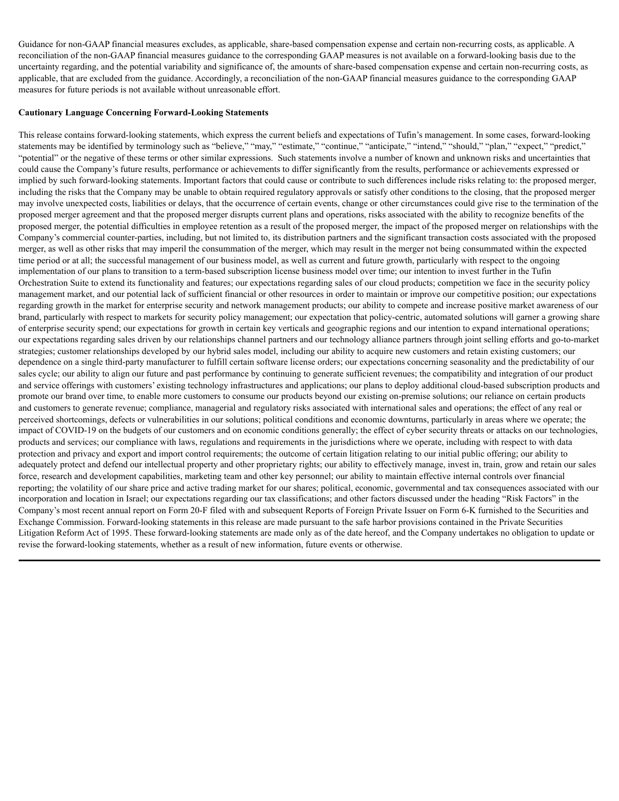Guidance for non-GAAP financial measures excludes, as applicable, share-based compensation expense and certain non-recurring costs, as applicable. A reconciliation of the non-GAAP financial measures guidance to the corresponding GAAP measures is not available on a forward-looking basis due to the uncertainty regarding, and the potential variability and significance of, the amounts of share-based compensation expense and certain non-recurring costs, as applicable, that are excluded from the guidance. Accordingly, a reconciliation of the non-GAAP financial measures guidance to the corresponding GAAP measures for future periods is not available without unreasonable effort.

#### **Cautionary Language Concerning Forward-Looking Statements**

This release contains forward-looking statements, which express the current beliefs and expectations of Tufin's management. In some cases, forward-looking statements may be identified by terminology such as "believe," "may," "estimate," "continue," "anticipate," "intend," "should," "plan," "expect," "predict," "potential" or the negative of these terms or other similar expressions. Such statements involve a number of known and unknown risks and uncertainties that could cause the Company's future results, performance or achievements to differ significantly from the results, performance or achievements expressed or implied by such forward-looking statements. Important factors that could cause or contribute to such differences include risks relating to: the proposed merger, including the risks that the Company may be unable to obtain required regulatory approvals or satisfy other conditions to the closing, that the proposed merger may involve unexpected costs, liabilities or delays, that the occurrence of certain events, change or other circumstances could give rise to the termination of the proposed merger agreement and that the proposed merger disrupts current plans and operations, risks associated with the ability to recognize benefits of the proposed merger, the potential difficulties in employee retention as a result of the proposed merger, the impact of the proposed merger on relationships with the Company's commercial counter-parties, including, but not limited to, its distribution partners and the significant transaction costs associated with the proposed merger, as well as other risks that may imperil the consummation of the merger, which may result in the merger not being consummated within the expected time period or at all; the successful management of our business model, as well as current and future growth, particularly with respect to the ongoing implementation of our plans to transition to a term-based subscription license business model over time; our intention to invest further in the Tufin Orchestration Suite to extend its functionality and features; our expectations regarding sales of our cloud products; competition we face in the security policy management market, and our potential lack of sufficient financial or other resources in order to maintain or improve our competitive position; our expectations regarding growth in the market for enterprise security and network management products; our ability to compete and increase positive market awareness of our brand, particularly with respect to markets for security policy management; our expectation that policy-centric, automated solutions will garner a growing share of enterprise security spend; our expectations for growth in certain key verticals and geographic regions and our intention to expand international operations; our expectations regarding sales driven by our relationships channel partners and our technology alliance partners through joint selling efforts and go-to-market strategies; customer relationships developed by our hybrid sales model, including our ability to acquire new customers and retain existing customers; our dependence on a single third-party manufacturer to fulfill certain software license orders; our expectations concerning seasonality and the predictability of our sales cycle; our ability to align our future and past performance by continuing to generate sufficient revenues; the compatibility and integration of our product and service offerings with customers' existing technology infrastructures and applications; our plans to deploy additional cloud-based subscription products and promote our brand over time, to enable more customers to consume our products beyond our existing on-premise solutions; our reliance on certain products and customers to generate revenue; compliance, managerial and regulatory risks associated with international sales and operations; the effect of any real or perceived shortcomings, defects or vulnerabilities in our solutions; political conditions and economic downturns, particularly in areas where we operate; the impact of COVID-19 on the budgets of our customers and on economic conditions generally; the effect of cyber security threats or attacks on our technologies, products and services; our compliance with laws, regulations and requirements in the jurisdictions where we operate, including with respect to with data protection and privacy and export and import control requirements; the outcome of certain litigation relating to our initial public offering; our ability to adequately protect and defend our intellectual property and other proprietary rights; our ability to effectively manage, invest in, train, grow and retain our sales force, research and development capabilities, marketing team and other key personnel; our ability to maintain effective internal controls over financial reporting; the volatility of our share price and active trading market for our shares; political, economic, governmental and tax consequences associated with our incorporation and location in Israel; our expectations regarding our tax classifications; and other factors discussed under the heading "Risk Factors" in the Company's most recent annual report on Form 20-F filed with and subsequent Reports of Foreign Private Issuer on Form 6-K furnished to the Securities and Exchange Commission. Forward-looking statements in this release are made pursuant to the safe harbor provisions contained in the Private Securities Litigation Reform Act of 1995. These forward-looking statements are made only as of the date hereof, and the Company undertakes no obligation to update or revise the forward-looking statements, whether as a result of new information, future events or otherwise.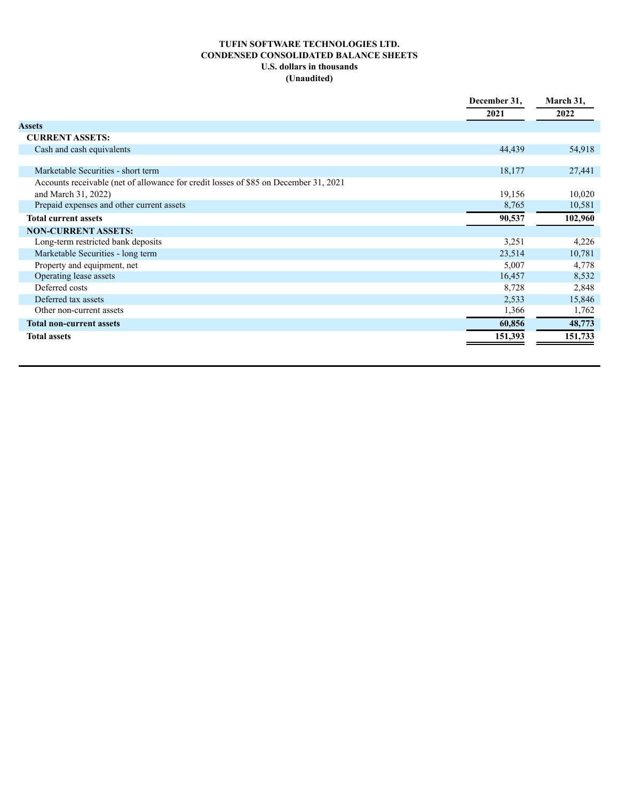# **TUFIN SOFTWARE TECHNOLOGIES LTD. CONDENSED CONSOLIDATED BALANCE SHEETS U.S. dollars in thousands (Unaudited)**

|                                                                                      | December 31, | March 31, |
|--------------------------------------------------------------------------------------|--------------|-----------|
|                                                                                      | 2021         | 2022      |
| <b>Assets</b>                                                                        |              |           |
| <b>CURRENT ASSETS:</b>                                                               |              |           |
| Cash and cash equivalents                                                            | 44,439       | 54,918    |
|                                                                                      |              |           |
| Marketable Securities - short term                                                   | 18,177       | 27,441    |
| Accounts receivable (net of allowance for credit losses of \$85 on December 31, 2021 |              |           |
| and March 31, 2022)                                                                  | 19,156       | 10,020    |
| Prepaid expenses and other current assets                                            | 8,765        | 10,581    |
| <b>Total current assets</b>                                                          | 90,537       | 102,960   |
| <b>NON-CURRENT ASSETS:</b>                                                           |              |           |
| Long-term restricted bank deposits                                                   | 3,251        | 4,226     |
| Marketable Securities - long term                                                    | 23,514       | 10,781    |
| Property and equipment, net                                                          | 5,007        | 4,778     |
| Operating lease assets                                                               | 16,457       | 8,532     |
| Deferred costs                                                                       | 8,728        | 2,848     |
| Deferred tax assets                                                                  | 2,533        | 15,846    |
| Other non-current assets                                                             | 1,366        | 1,762     |
| <b>Total non-current assets</b>                                                      | 60,856       | 48,773    |
| <b>Total assets</b>                                                                  | 151,393      | 151,733   |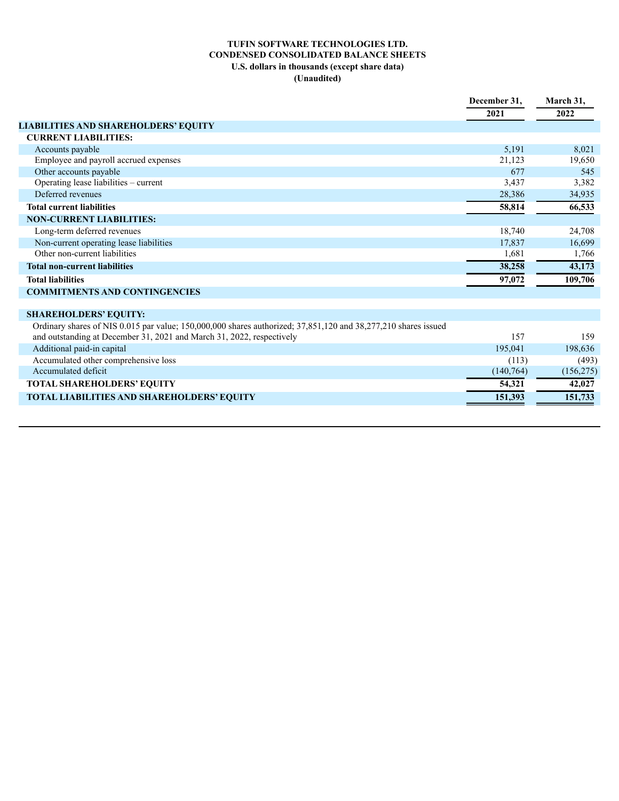## **TUFIN SOFTWARE TECHNOLOGIES LTD. CONDENSED CONSOLIDATED BALANCE SHEETS U.S. dollars in thousands (except share data) (Unaudited)**

|                                                                                                                                                                                         | December 31. | March 31,  |
|-----------------------------------------------------------------------------------------------------------------------------------------------------------------------------------------|--------------|------------|
|                                                                                                                                                                                         | 2021         | 2022       |
| LIABILITIES AND SHAREHOLDERS' EQUITY                                                                                                                                                    |              |            |
| <b>CURRENT LIABILITIES:</b>                                                                                                                                                             |              |            |
| Accounts payable                                                                                                                                                                        | 5,191        | 8,021      |
| Employee and payroll accrued expenses                                                                                                                                                   | 21,123       | 19,650     |
| Other accounts payable                                                                                                                                                                  | 677          | 545        |
| Operating lease liabilities - current                                                                                                                                                   | 3,437        | 3,382      |
| Deferred revenues                                                                                                                                                                       | 28,386       | 34,935     |
| <b>Total current liabilities</b>                                                                                                                                                        | 58,814       | 66,533     |
| <b>NON-CURRENT LIABILITIES:</b>                                                                                                                                                         |              |            |
| Long-term deferred revenues                                                                                                                                                             | 18,740       | 24,708     |
| Non-current operating lease liabilities                                                                                                                                                 | 17,837       | 16,699     |
| Other non-current liabilities                                                                                                                                                           | 1,681        | 1,766      |
| <b>Total non-current liabilities</b>                                                                                                                                                    | 38,258       | 43,173     |
| <b>Total liabilities</b>                                                                                                                                                                | 97,072       | 109,706    |
| <b>COMMITMENTS AND CONTINGENCIES</b>                                                                                                                                                    |              |            |
|                                                                                                                                                                                         |              |            |
| <b>SHAREHOLDERS' EQUITY:</b>                                                                                                                                                            |              |            |
| Ordinary shares of NIS 0.015 par value; 150,000,000 shares authorized; 37,851,120 and 38,277,210 shares issued<br>and outstanding at December 31, 2021 and March 31, 2022, respectively | 157          | 159        |
| Additional paid-in capital                                                                                                                                                              | 195,041      | 198,636    |
| Accumulated other comprehensive loss                                                                                                                                                    | (113)        | (493)      |
| Accumulated deficit                                                                                                                                                                     | (140, 764)   | (156, 275) |
| TOTAL SHAREHOLDERS' EQUITY                                                                                                                                                              | 54,321       | 42,027     |
| TOTAL LIABILITIES AND SHAREHOLDERS' EQUITY                                                                                                                                              | 151,393      | 151,733    |
|                                                                                                                                                                                         |              |            |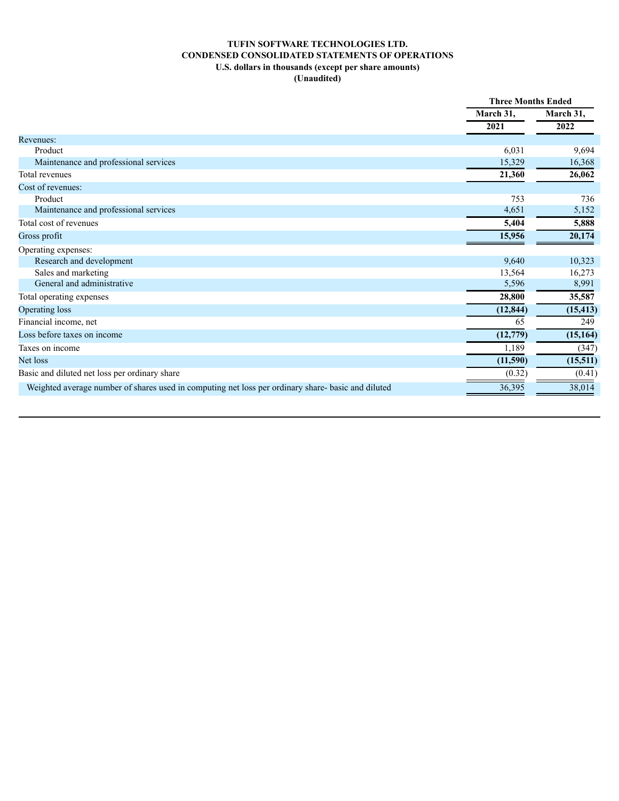## **TUFIN SOFTWARE TECHNOLOGIES LTD. CONDENSED CONSOLIDATED STATEMENTS OF OPERATIONS U.S. dollars in thousands (except per share amounts) (Unaudited)**

|                                                                                                    | <b>Three Months Ended</b> |                   |
|----------------------------------------------------------------------------------------------------|---------------------------|-------------------|
|                                                                                                    | March 31,                 | March 31,<br>2022 |
|                                                                                                    | 2021                      |                   |
| Revenues:                                                                                          |                           |                   |
| Product                                                                                            | 6,031                     | 9,694             |
| Maintenance and professional services                                                              | 15,329                    | 16,368            |
| Total revenues                                                                                     | 21,360                    | 26,062            |
| Cost of revenues:                                                                                  |                           |                   |
| Product                                                                                            | 753                       | 736               |
| Maintenance and professional services                                                              | 4,651                     | 5,152             |
| Total cost of revenues                                                                             | 5,404                     | 5,888             |
| Gross profit                                                                                       | 15,956                    | 20,174            |
| Operating expenses:                                                                                |                           |                   |
| Research and development                                                                           | 9,640                     | 10,323            |
| Sales and marketing                                                                                | 13,564                    | 16,273            |
| General and administrative                                                                         | 5,596                     | 8,991             |
| Total operating expenses                                                                           | 28,800                    | 35,587            |
| Operating loss                                                                                     | (12, 844)                 | (15, 413)         |
| Financial income, net                                                                              | 65                        | 249               |
| Loss before taxes on income                                                                        | (12, 779)                 | (15, 164)         |
| Taxes on income                                                                                    | 1,189                     | (347)             |
| Net loss                                                                                           | (11,590)                  | (15, 511)         |
| Basic and diluted net loss per ordinary share                                                      | (0.32)                    | (0.41)            |
| Weighted average number of shares used in computing net loss per ordinary share- basic and diluted | 36,395                    | 38,014            |
|                                                                                                    |                           |                   |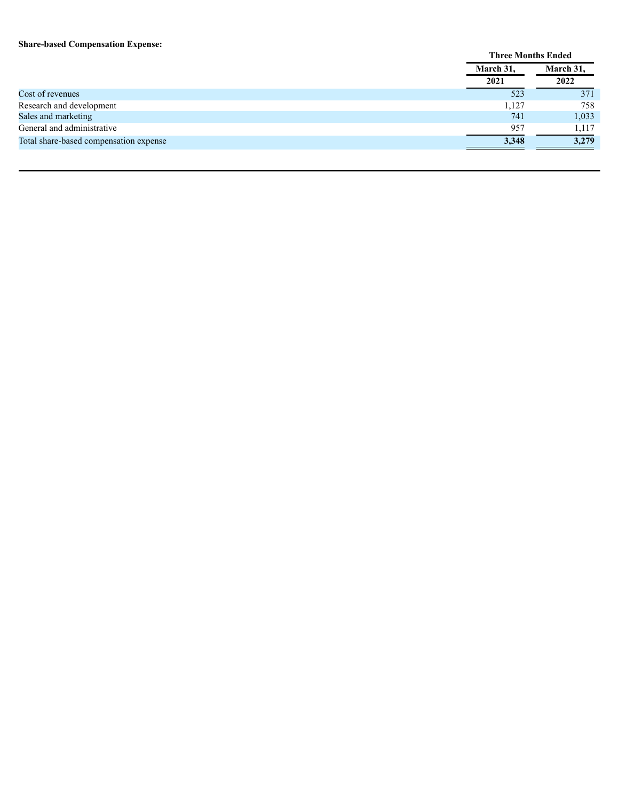#### **Share-based Compensation Expense:**

|                                        | <b>Three Months Ended</b> |           |  |
|----------------------------------------|---------------------------|-----------|--|
|                                        | March 31,                 | March 31, |  |
|                                        | 2021                      | 2022      |  |
| Cost of revenues                       | 523                       | 371       |  |
| Research and development               | 1,127                     | 758       |  |
| Sales and marketing                    | 741                       | 1,033     |  |
| General and administrative             | 957                       | 1,117     |  |
| Total share-based compensation expense | 3.348                     | 3.279     |  |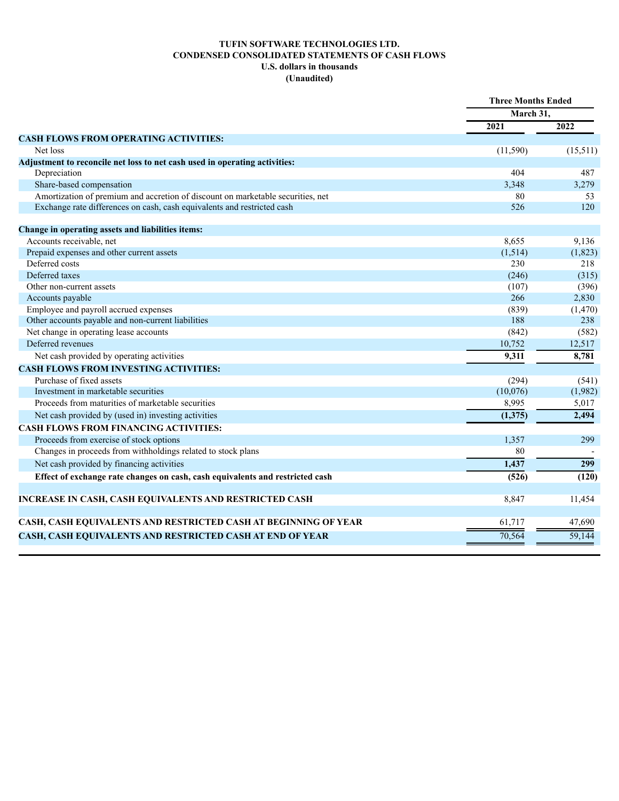## **TUFIN SOFTWARE TECHNOLOGIES LTD. CONDENSED CONSOLIDATED STATEMENTS OF CASH FLOWS U.S. dollars in thousands (Unaudited)**

|                                                                                 | <b>Three Months Ended</b> |          |
|---------------------------------------------------------------------------------|---------------------------|----------|
|                                                                                 | March 31,                 |          |
|                                                                                 | 2021                      | 2022     |
| <b>CASH FLOWS FROM OPERATING ACTIVITIES:</b>                                    |                           |          |
| Net loss                                                                        | (11, 590)                 | (15,511) |
| Adjustment to reconcile net loss to net cash used in operating activities:      |                           |          |
| Depreciation                                                                    | 404                       | 487      |
| Share-based compensation                                                        | 3,348                     | 3,279    |
| Amortization of premium and accretion of discount on marketable securities, net | 80                        | 53       |
| Exchange rate differences on cash, cash equivalents and restricted cash         | 526                       | 120      |
| Change in operating assets and liabilities items:                               |                           |          |
| Accounts receivable, net                                                        | 8,655                     | 9,136    |
| Prepaid expenses and other current assets                                       | (1,514)                   | (1,823)  |
| Deferred costs                                                                  | 230                       | 218      |
| Deferred taxes                                                                  | (246)                     | (315)    |
| Other non-current assets                                                        | (107)                     | (396)    |
| Accounts payable                                                                | 266                       | 2,830    |
| Employee and payroll accrued expenses                                           | (839)                     | (1, 470) |
| Other accounts payable and non-current liabilities                              | 188                       | 238      |
| Net change in operating lease accounts                                          | (842)                     | (582)    |
| Deferred revenues                                                               | 10,752                    | 12,517   |
| Net cash provided by operating activities                                       | 9,311                     | 8,781    |
| <b>CASH FLOWS FROM INVESTING ACTIVITIES:</b>                                    |                           |          |
| Purchase of fixed assets                                                        | (294)                     | (541)    |
| Investment in marketable securities                                             | (10,076)                  | (1,982)  |
| Proceeds from maturities of marketable securities                               | 8,995                     | 5,017    |
| Net cash provided by (used in) investing activities                             | (1,375)                   | 2,494    |
| <b>CASH FLOWS FROM FINANCING ACTIVITIES:</b>                                    |                           |          |
| Proceeds from exercise of stock options                                         | 1,357                     | 299      |
| Changes in proceeds from withholdings related to stock plans                    | 80                        |          |
| Net cash provided by financing activities                                       | 1,437                     | 299      |
| Effect of exchange rate changes on cash, cash equivalents and restricted cash   | (526)                     | (120)    |
| INCREASE IN CASH, CASH EQUIVALENTS AND RESTRICTED CASH                          | 8,847                     | 11,454   |
| CASH, CASH EQUIVALENTS AND RESTRICTED CASH AT BEGINNING OF YEAR                 | 61.717                    | 47,690   |
| CASH, CASH EQUIVALENTS AND RESTRICTED CASH AT END OF YEAR                       | 70,564                    | 59,144   |
|                                                                                 |                           |          |